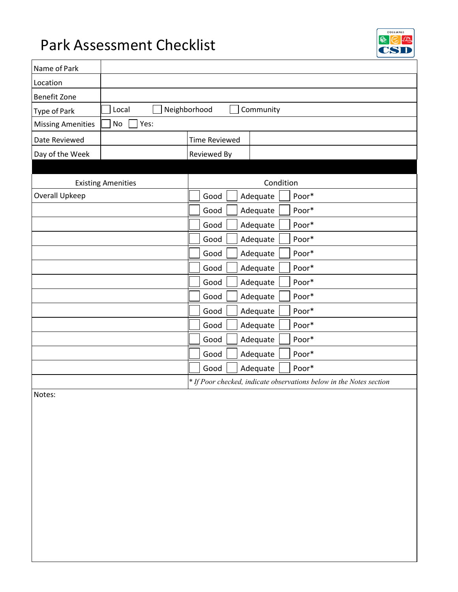# Park Assessment Checklist



| Local<br>Neighborhood<br>Community<br>Type of Park |             |           |                      |                                                                                                                                                          |
|----------------------------------------------------|-------------|-----------|----------------------|----------------------------------------------------------------------------------------------------------------------------------------------------------|
| Yes:<br>No                                         |             |           |                      |                                                                                                                                                          |
|                                                    |             |           |                      |                                                                                                                                                          |
|                                                    | Reviewed By |           |                      |                                                                                                                                                          |
|                                                    |             |           |                      |                                                                                                                                                          |
| <b>Existing Amenities</b>                          |             | Condition |                      |                                                                                                                                                          |
|                                                    | Good        |           |                      | Poor*                                                                                                                                                    |
|                                                    | Good        |           |                      | Poor*                                                                                                                                                    |
|                                                    | Good        |           |                      | Poor*                                                                                                                                                    |
|                                                    | Good        |           |                      | Poor*                                                                                                                                                    |
|                                                    | Good        |           |                      | Poor*                                                                                                                                                    |
|                                                    | Good        |           |                      | Poor*                                                                                                                                                    |
|                                                    | Good        |           |                      | Poor*                                                                                                                                                    |
|                                                    | Good        |           |                      | Poor*                                                                                                                                                    |
|                                                    | Good        |           |                      | Poor*                                                                                                                                                    |
|                                                    | Good        |           |                      | Poor*                                                                                                                                                    |
|                                                    | Good        |           |                      | Poor*                                                                                                                                                    |
|                                                    | Good        |           |                      | Poor*                                                                                                                                                    |
|                                                    | Good        |           |                      | Poor*                                                                                                                                                    |
|                                                    |             |           |                      | * If Poor checked, indicate observations below in the Notes section                                                                                      |
|                                                    |             |           | <b>Time Reviewed</b> | Adequate<br>Adequate<br>Adequate<br>Adequate<br>Adequate<br>Adequate<br>Adequate<br>Adequate<br>Adequate<br>Adequate<br>Adequate<br>Adequate<br>Adequate |

Notes: